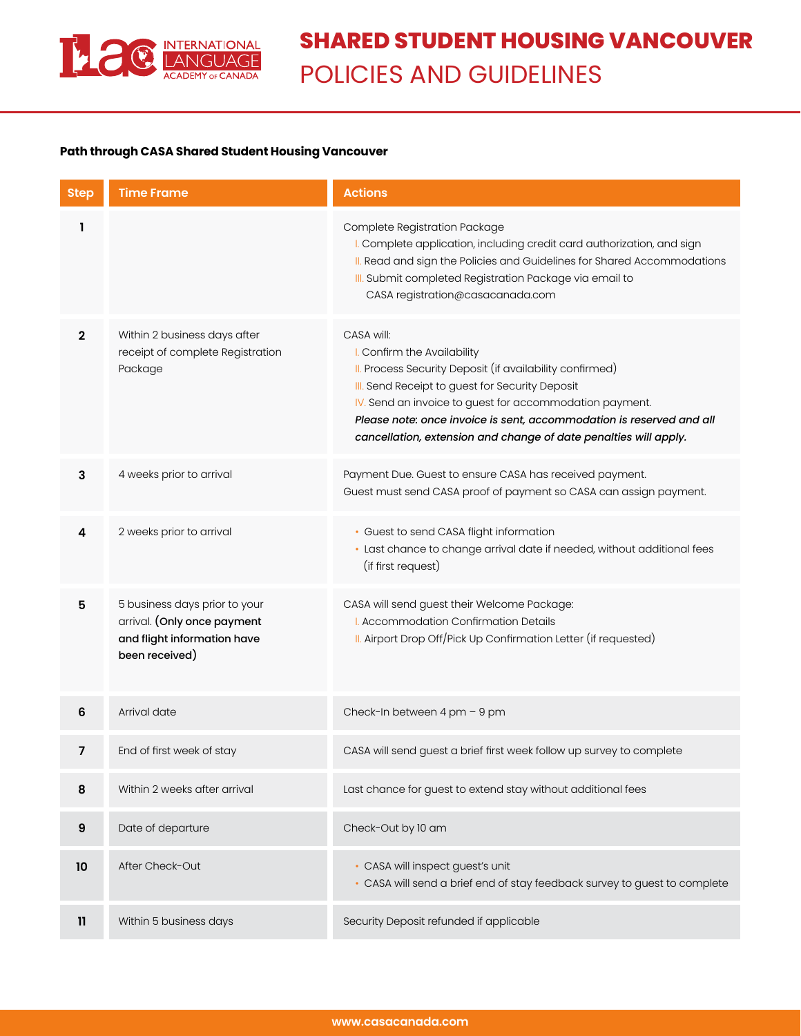

## **Path through CASA Shared Student Housing Vancouver**

| <b>Step</b>  | <b>Time Frame</b>                                                                                             | <b>Actions</b>                                                                                                                                                                                                                                                                                                                                                  |
|--------------|---------------------------------------------------------------------------------------------------------------|-----------------------------------------------------------------------------------------------------------------------------------------------------------------------------------------------------------------------------------------------------------------------------------------------------------------------------------------------------------------|
|              |                                                                                                               | Complete Registration Package<br>I. Complete application, including credit card authorization, and sign<br>II. Read and sign the Policies and Guidelines for Shared Accommodations<br>III. Submit completed Registration Package via email to<br>CASA registration@casacanada.com                                                                               |
| $\mathbf{2}$ | Within 2 business days after<br>receipt of complete Registration<br>Package                                   | CASA will:<br>I. Confirm the Availability<br>II. Process Security Deposit (if availability confirmed)<br>III. Send Receipt to guest for Security Deposit<br>IV. Send an invoice to guest for accommodation payment.<br>Please note: once invoice is sent, accommodation is reserved and all<br>cancellation, extension and change of date penalties will apply. |
| 3            | 4 weeks prior to arrival                                                                                      | Payment Due. Guest to ensure CASA has received payment.<br>Guest must send CASA proof of payment so CASA can assign payment.                                                                                                                                                                                                                                    |
| 4            | 2 weeks prior to arrival                                                                                      | • Guest to send CASA flight information<br>· Last chance to change arrival date if needed, without additional fees<br>(if first request)                                                                                                                                                                                                                        |
| 5            | 5 business days prior to your<br>arrival. (Only once payment<br>and flight information have<br>been received) | CASA will send guest their Welcome Package:<br>I. Accommodation Confirmation Details<br>II. Airport Drop Off/Pick Up Confirmation Letter (if requested)                                                                                                                                                                                                         |
| 6            | Arrival date                                                                                                  | Check-In between 4 pm - 9 pm                                                                                                                                                                                                                                                                                                                                    |
| 7            | End of first week of stay                                                                                     | CASA will send guest a brief first week follow up survey to complete                                                                                                                                                                                                                                                                                            |
| 8            | Within 2 weeks after arrival                                                                                  | Last chance for guest to extend stay without additional fees                                                                                                                                                                                                                                                                                                    |
| 9            | Date of departure                                                                                             | Check-Out by 10 am                                                                                                                                                                                                                                                                                                                                              |
| 10           | After Check-Out                                                                                               | • CASA will inspect guest's unit<br>• CASA will send a brief end of stay feedback survey to guest to complete                                                                                                                                                                                                                                                   |
| $\mathbf{1}$ | Within 5 business days                                                                                        | Security Deposit refunded if applicable                                                                                                                                                                                                                                                                                                                         |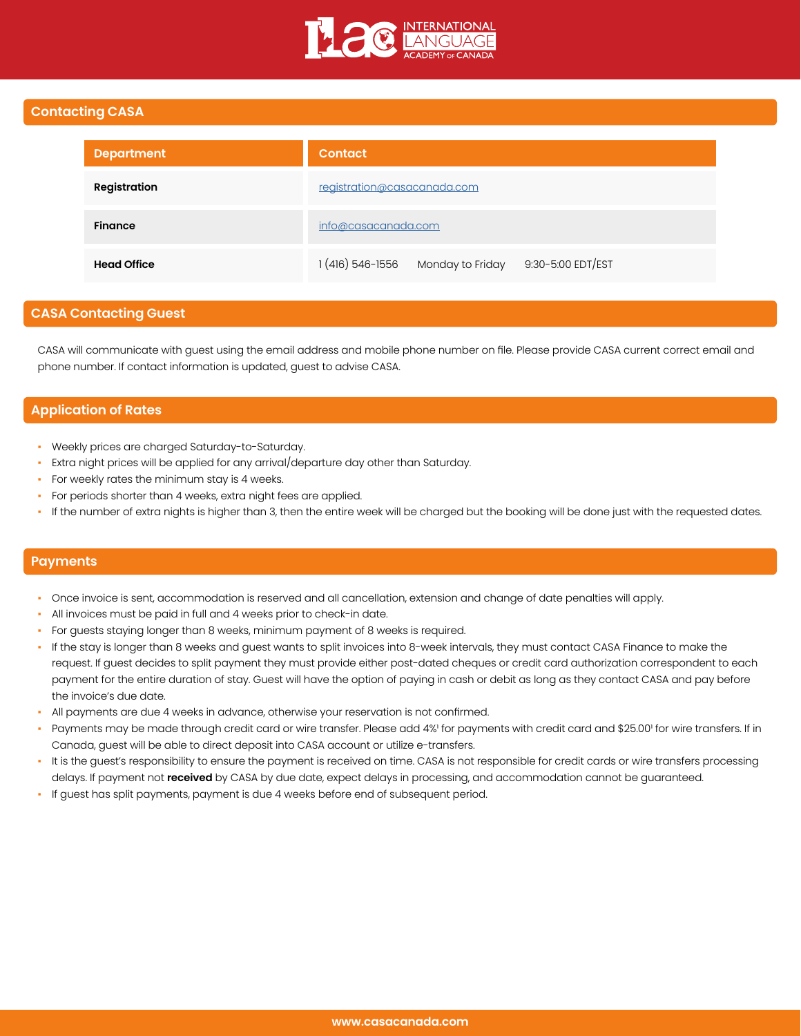

## **Contacting CASA**

| <b>Department</b>  | <b>Contact</b>                                         |  |  |
|--------------------|--------------------------------------------------------|--|--|
| Registration       | registration@casacanada.com                            |  |  |
| <b>Finance</b>     | info@casacanada.com                                    |  |  |
| <b>Head Office</b> | 1 (416) 546-1556<br>Monday to Friday 9:30-5:00 EDT/EST |  |  |

## **CASA Contacting Guest**

CASA will communicate with guest using the email address and mobile phone number on file. Please provide CASA current correct email and phone number. If contact information is updated, guest to advise CASA.

## **Application of Rates**

- Weekly prices are charged Saturday-to-Saturday.
- Extra night prices will be applied for any arrival/departure day other than Saturday.
- For weekly rates the minimum stay is 4 weeks.
- For periods shorter than 4 weeks, extra night fees are applied.
- If the number of extra nights is higher than 3, then the entire week will be charged but the booking will be done just with the requested dates.

## **Payments**

- Once invoice is sent, accommodation is reserved and all cancellation, extension and change of date penalties will apply.
- All invoices must be paid in full and 4 weeks prior to check-in date.
- For guests staying longer than 8 weeks, minimum payment of 8 weeks is required.
- If the stay is longer than 8 weeks and guest wants to split invoices into 8-week intervals, they must contact CASA Finance to make the request. If guest decides to split payment they must provide either post-dated cheques or credit card authorization correspondent to each payment for the entire duration of stay. Guest will have the option of paying in cash or debit as long as they contact CASA and pay before the invoice's due date.
- All payments are due 4 weeks in advance, otherwise your reservation is not confirmed.
- Payments may be made through credit card or wire transfer. Please add 4%' for payments with credit card and \$25.00' for wire transfers. If in Canada, guest will be able to direct deposit into CASA account or utilize e-transfers.
- It is the guest's responsibility to ensure the payment is received on time. CASA is not responsible for credit cards or wire transfers processing delays. If payment not **received** by CASA by due date, expect delays in processing, and accommodation cannot be guaranteed.
- If quest has split payments, payment is due 4 weeks before end of subsequent period.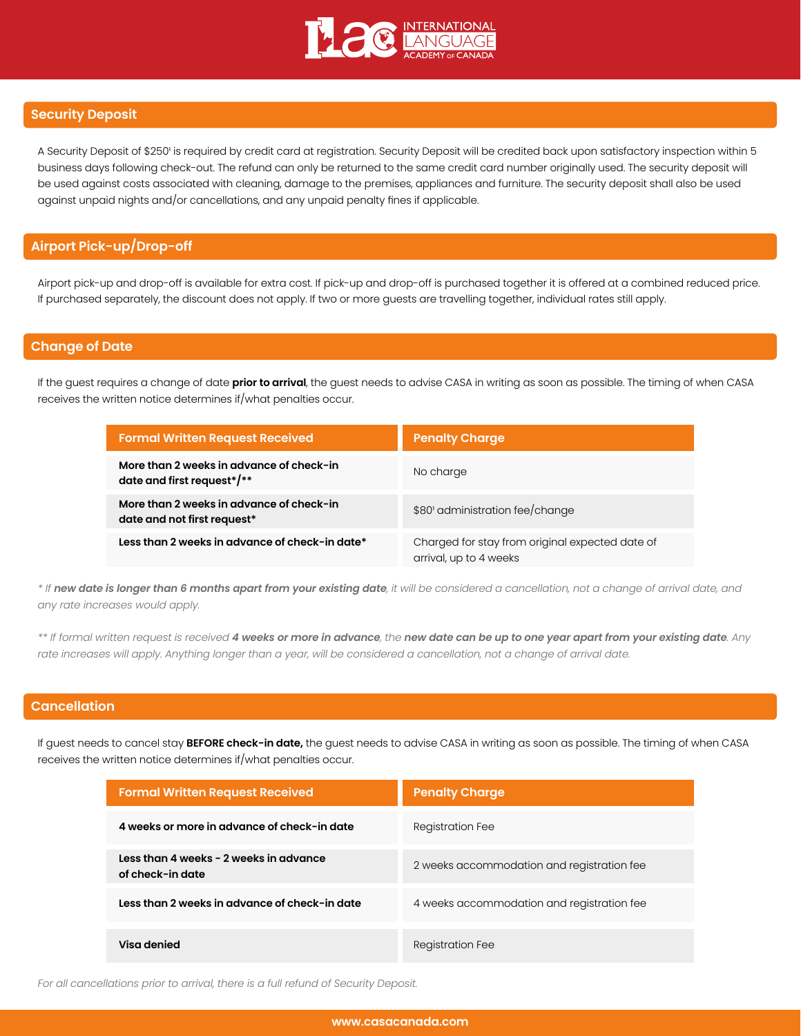

### **Security Deposit**

A Security Deposit of \$250' is required by credit card at registration. Security Deposit will be credited back upon satisfactory inspection within 5 business days following check-out. The refund can only be returned to the same credit card number originally used. The security deposit will be used against costs associated with cleaning, damage to the premises, appliances and furniture. The security deposit shall also be used against unpaid nights and/or cancellations, and any unpaid penalty fines if applicable.

## **Airport Pick-up/Drop-off**

Airport pick-up and drop-off is available for extra cost. If pick-up and drop-off is purchased together it is offered at a combined reduced price. If purchased separately, the discount does not apply. If two or more guests are travelling together, individual rates still apply.

### **Change of Date**

If the guest requires a change of date **prior to arrival**, the guest needs to advise CASA in writing as soon as possible. The timing of when CASA receives the written notice determines if/what penalties occur.

| <b>Formal Written Request Received</b>                                  | <b>Penalty Charge</b>                                                     |
|-------------------------------------------------------------------------|---------------------------------------------------------------------------|
| More than 2 weeks in advance of check-in<br>date and first request*/**  | No charge                                                                 |
| More than 2 weeks in advance of check-in<br>date and not first request* | \$80' administration fee/change                                           |
| Less than 2 weeks in advance of check-in date*                          | Charged for stay from original expected date of<br>arrival, up to 4 weeks |

*\* If new date is longer than 6 months apart from your existing date, it will be considered a cancellation, not a change of arrival date, and any rate increases would apply.*

*\*\* If formal written request is received 4 weeks or more in advance, the new date can be up to one year apart from your existing date. Any rate increases will apply. Anything longer than a year, will be considered a cancellation, not a change of arrival date.*

# **Cancellation**

If guest needs to cancel stay **BEFORE check-in date,** the guest needs to advise CASA in writing as soon as possible. The timing of when CASA receives the written notice determines if/what penalties occur.

| <b>Formal Written Request Received</b>                     | <b>Penalty Charge</b>                      |
|------------------------------------------------------------|--------------------------------------------|
| 4 weeks or more in advance of check-in date                | <b>Registration Fee</b>                    |
| Less than 4 weeks - 2 weeks in advance<br>of check-in date | 2 weeks accommodation and registration fee |
| Less than 2 weeks in advance of check-in date              | 4 weeks accommodation and registration fee |
| Visa denied                                                | Registration Fee                           |

*For all cancellations prior to arrival, there is a full refund of Security Deposit.*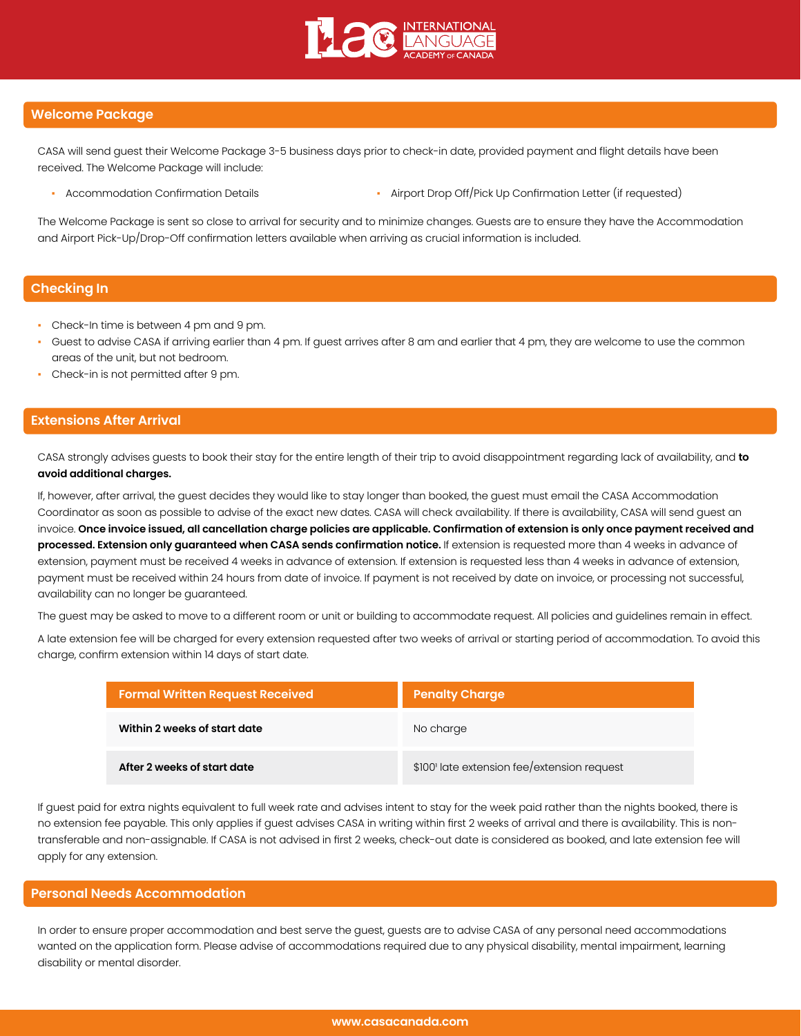

### **Welcome Package**

CASA will send guest their Welcome Package 3-5 business days prior to check-in date, provided payment and flight details have been received. The Welcome Package will include:

- 
- Accommodation Confirmation Details  **Airport Drop Off/Pick Up Confirmation Letter (if requested)**

The Welcome Package is sent so close to arrival for security and to minimize changes. Guests are to ensure they have the Accommodation and Airport Pick-Up/Drop-Off confirmation letters available when arriving as crucial information is included.

## **Checking In**

- Check-In time is between 4 pm and 9 pm.
- Guest to advise CASA if arriving earlier than 4 pm. If guest arrives after 8 am and earlier that 4 pm, they are welcome to use the common areas of the unit, but not bedroom.
- Check-in is not permitted after 9 pm.

### **Extensions After Arrival**

CASA strongly advises guests to book their stay for the entire length of their trip to avoid disappointment regarding lack of availability, and **to avoid additional charges.**

If, however, after arrival, the guest decides they would like to stay longer than booked, the guest must email the CASA Accommodation Coordinator as soon as possible to advise of the exact new dates. CASA will check availability. If there is availability, CASA will send guest an invoice. **Once invoice issued, all cancellation charge policies are applicable. Confirmation of extension is only once payment received and processed. Extension only guaranteed when CASA sends confirmation notice.** If extension is requested more than 4 weeks in advance of extension, payment must be received 4 weeks in advance of extension. If extension is requested less than 4 weeks in advance of extension, payment must be received within 24 hours from date of invoice. If payment is not received by date on invoice, or processing not successful, availability can no longer be guaranteed.

The guest may be asked to move to a different room or unit or building to accommodate request. All policies and guidelines remain in effect.

A late extension fee will be charged for every extension requested after two weeks of arrival or starting period of accommodation. To avoid this charge, confirm extension within 14 days of start date.

| <b>Formal Written Request Received</b> | <b>Penalty Charge</b>                       |
|----------------------------------------|---------------------------------------------|
| Within 2 weeks of start date           | No charge                                   |
| After 2 weeks of start date            | \$100' late extension fee/extension request |

If guest paid for extra nights equivalent to full week rate and advises intent to stay for the week paid rather than the nights booked, there is no extension fee payable. This only applies if guest advises CASA in writing within first 2 weeks of arrival and there is availability. This is nontransferable and non-assignable. If CASA is not advised in first 2 weeks, check-out date is considered as booked, and late extension fee will apply for any extension.

### **Personal Needs Accommodation**

In order to ensure proper accommodation and best serve the guest, guests are to advise CASA of any personal need accommodations wanted on the application form. Please advise of accommodations required due to any physical disability, mental impairment, learning disability or mental disorder.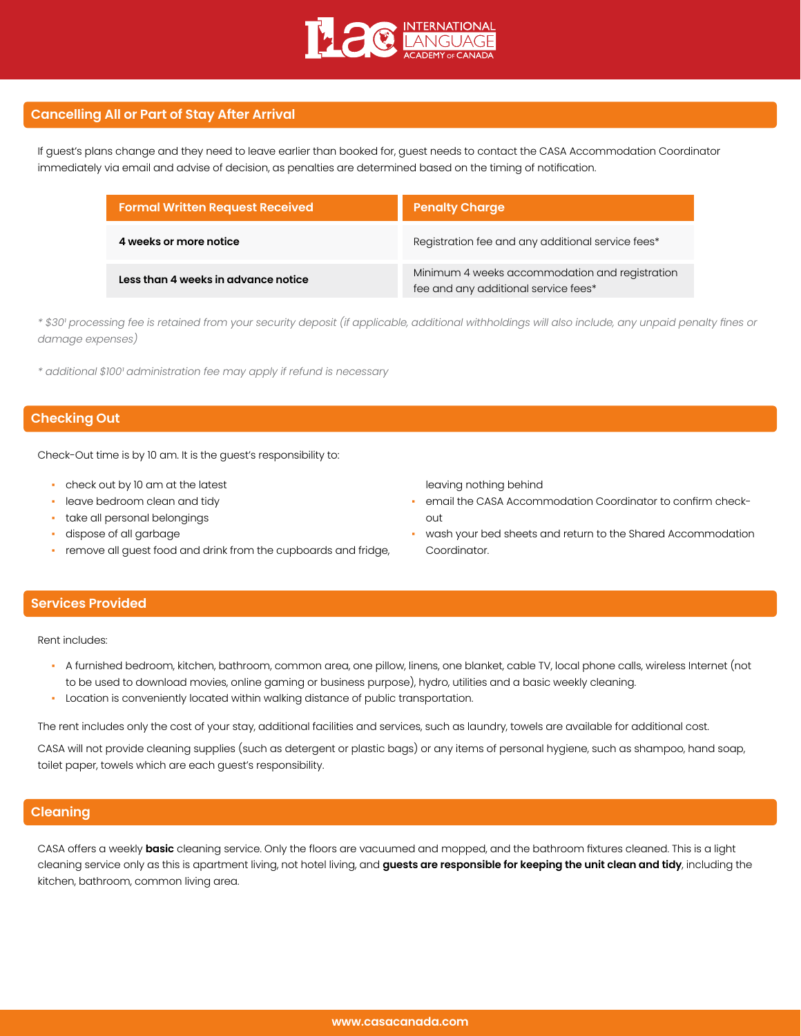

## **Cancelling All or Part of Stay After Arrival**

If guest's plans change and they need to leave earlier than booked for, guest needs to contact the CASA Accommodation Coordinator immediately via email and advise of decision, as penalties are determined based on the timing of notification.

| <b>Formal Written Request Received</b> | <b>Penalty Charge</b>                                                                  |  |  |
|----------------------------------------|----------------------------------------------------------------------------------------|--|--|
| 4 weeks or more notice                 | Registration fee and any additional service fees*                                      |  |  |
| Less than 4 weeks in advance notice    | Minimum 4 weeks accommodation and registration<br>fee and any additional service fees* |  |  |

*\* \$30¹ processing fee is retained from your security deposit (if applicable, additional withholdings will also include, any unpaid penalty fines or damage expenses)*

*\* additional \$100¹ administration fee may apply if refund is necessary*

## **Checking Out**

Check-Out time is by 10 am. It is the guest's responsibility to:

- check out by 10 am at the latest
- leave bedroom clean and tidy
- take all personal belongings
- dispose of all garbage
- remove all guest food and drink from the cupboards and fridge,

leaving nothing behind

- email the CASA Accommodation Coordinator to confirm checkout
- wash your bed sheets and return to the Shared Accommodation Coordinator.

## **Services Provided**

Rent includes:

- A furnished bedroom, kitchen, bathroom, common area, one pillow, linens, one blanket, cable TV, local phone calls, wireless Internet (not to be used to download movies, online gaming or business purpose), hydro, utilities and a basic weekly cleaning.
- Location is conveniently located within walking distance of public transportation.

The rent includes only the cost of your stay, additional facilities and services, such as laundry, towels are available for additional cost.

CASA will not provide cleaning supplies (such as detergent or plastic bags) or any items of personal hygiene, such as shampoo, hand soap, toilet paper, towels which are each guest's responsibility.

## **Cleaning**

CASA offers a weekly **basic** cleaning service. Only the floors are vacuumed and mopped, and the bathroom fixtures cleaned. This is a light cleaning service only as this is apartment living, not hotel living, and **guests are responsible for keeping the unit clean and tidy**, including the kitchen, bathroom, common living area.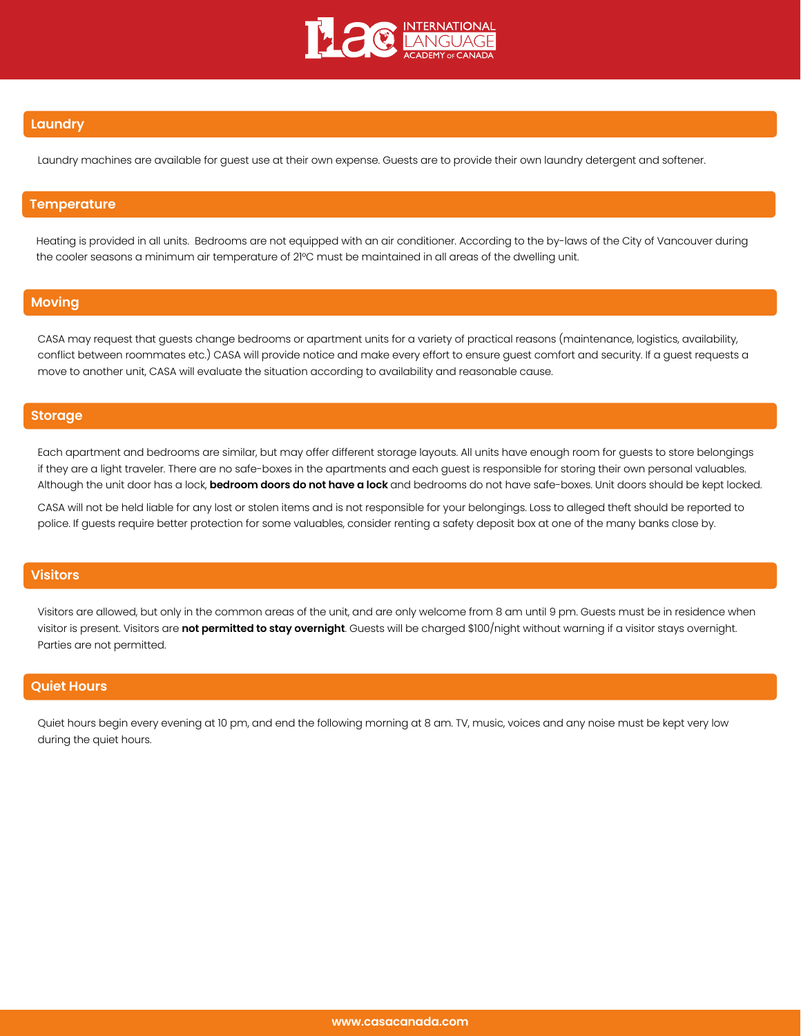

## **Laundry**

Laundry machines are available for guest use at their own expense. Guests are to provide their own laundry detergent and softener.

#### **Temperature**

Heating is provided in all units. Bedrooms are not equipped with an air conditioner. According to the by-laws of the City of Vancouver during the cooler seasons a minimum air temperature of 21°C must be maintained in all areas of the dwelling unit.

## **Moving**

CASA may request that guests change bedrooms or apartment units for a variety of practical reasons (maintenance, logistics, availability, conflict between roommates etc.) CASA will provide notice and make every effort to ensure guest comfort and security. If a guest requests a move to another unit, CASA will evaluate the situation according to availability and reasonable cause.

### **Storage**

Each apartment and bedrooms are similar, but may offer different storage layouts. All units have enough room for guests to store belongings if they are a light traveler. There are no safe-boxes in the apartments and each guest is responsible for storing their own personal valuables. Although the unit door has a lock, **bedroom doors do not have a lock** and bedrooms do not have safe-boxes. Unit doors should be kept locked.

CASA will not be held liable for any lost or stolen items and is not responsible for your belongings. Loss to alleged theft should be reported to police. If guests require better protection for some valuables, consider renting a safety deposit box at one of the many banks close by.

# **Visitors**

Visitors are allowed, but only in the common areas of the unit, and are only welcome from 8 am until 9 pm. Guests must be in residence when visitor is present. Visitors are **not permitted to stay overnight**. Guests will be charged \$100/night without warning if a visitor stays overnight. Parties are not permitted.

### **Quiet Hours**

Quiet hours begin every evening at 10 pm, and end the following morning at 8 am. TV, music, voices and any noise must be kept very low during the quiet hours.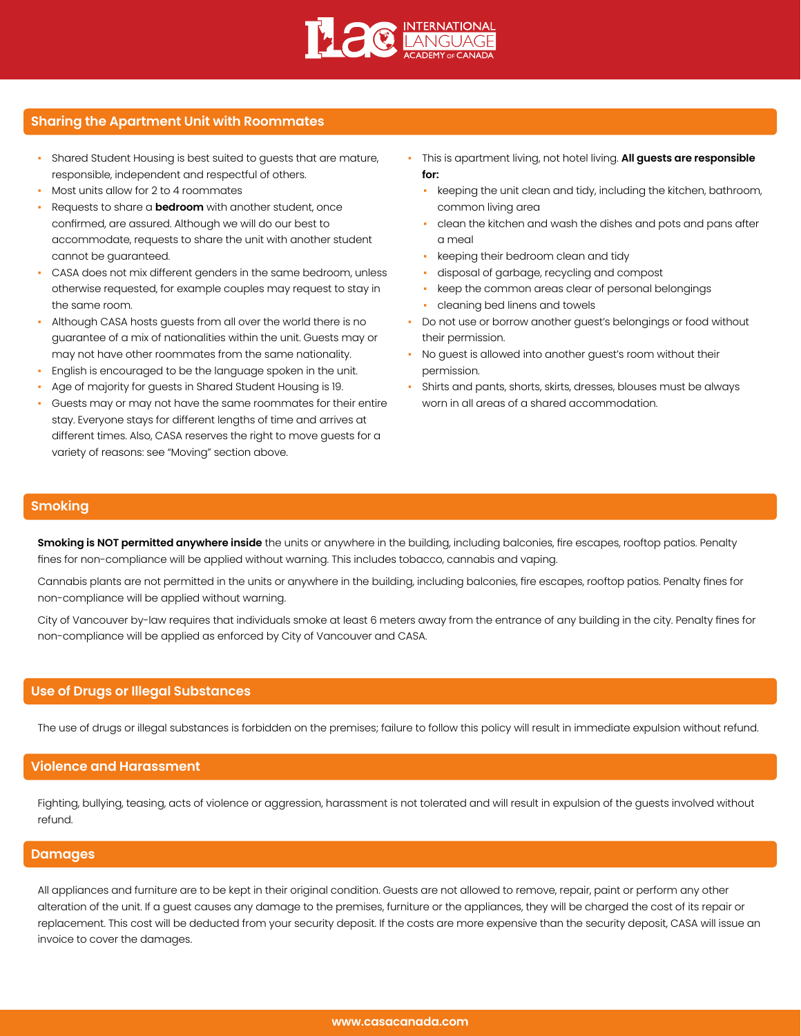

# **Sharing the Apartment Unit with Roommates**

- Shared Student Housing is best suited to guests that are mature, responsible, independent and respectful of others.
- Most units allow for 2 to 4 roommates
- Requests to share a **bedroom** with another student, once confirmed, are assured. Although we will do our best to accommodate, requests to share the unit with another student cannot be guaranteed.
- CASA does not mix different genders in the same bedroom, unless otherwise requested, for example couples may request to stay in the same room.
- Although CASA hosts guests from all over the world there is no guarantee of a mix of nationalities within the unit. Guests may or may not have other roommates from the same nationality.
- English is encouraged to be the language spoken in the unit.
- Age of majority for guests in Shared Student Housing is 19.
- Guests may or may not have the same roommates for their entire stay. Everyone stays for different lengths of time and arrives at different times. Also, CASA reserves the right to move guests for a variety of reasons: see "Moving" section above.
- This is apartment living, not hotel living. **All guests are responsible for:**
	- keeping the unit clean and tidy, including the kitchen, bathroom, common living area
	- clean the kitchen and wash the dishes and pots and pans after a meal
	- keeping their bedroom clean and tidy
	- disposal of garbage, recycling and compost
	- keep the common areas clear of personal belongings
	- cleaning bed linens and towels
- Do not use or borrow another guest's belongings or food without their permission.
- No guest is allowed into another guest's room without their permission.
- Shirts and pants, shorts, skirts, dresses, blouses must be always worn in all areas of a shared accommodation.

#### **Smoking**

**Smoking is NOT permitted anywhere inside** the units or anywhere in the building, including balconies, fire escapes, rooftop patios. Penalty fines for non-compliance will be applied without warning. This includes tobacco, cannabis and vaping.

Cannabis plants are not permitted in the units or anywhere in the building, including balconies, fire escapes, rooftop patios. Penalty fines for non-compliance will be applied without warning.

City of Vancouver by-law requires that individuals smoke at least 6 meters away from the entrance of any building in the city. Penalty fines for non-compliance will be applied as enforced by City of Vancouver and CASA.

### **Use of Drugs or Illegal Substances**

The use of drugs or illegal substances is forbidden on the premises; failure to follow this policy will result in immediate expulsion without refund.

#### **Violence and Harassment**

Fighting, bullying, teasing, acts of violence or aggression, harassment is not tolerated and will result in expulsion of the guests involved without refund.

### **Damages**

All appliances and furniture are to be kept in their original condition. Guests are not allowed to remove, repair, paint or perform any other alteration of the unit. If a guest causes any damage to the premises, furniture or the appliances, they will be charged the cost of its repair or replacement. This cost will be deducted from your security deposit. If the costs are more expensive than the security deposit, CASA will issue an invoice to cover the damages.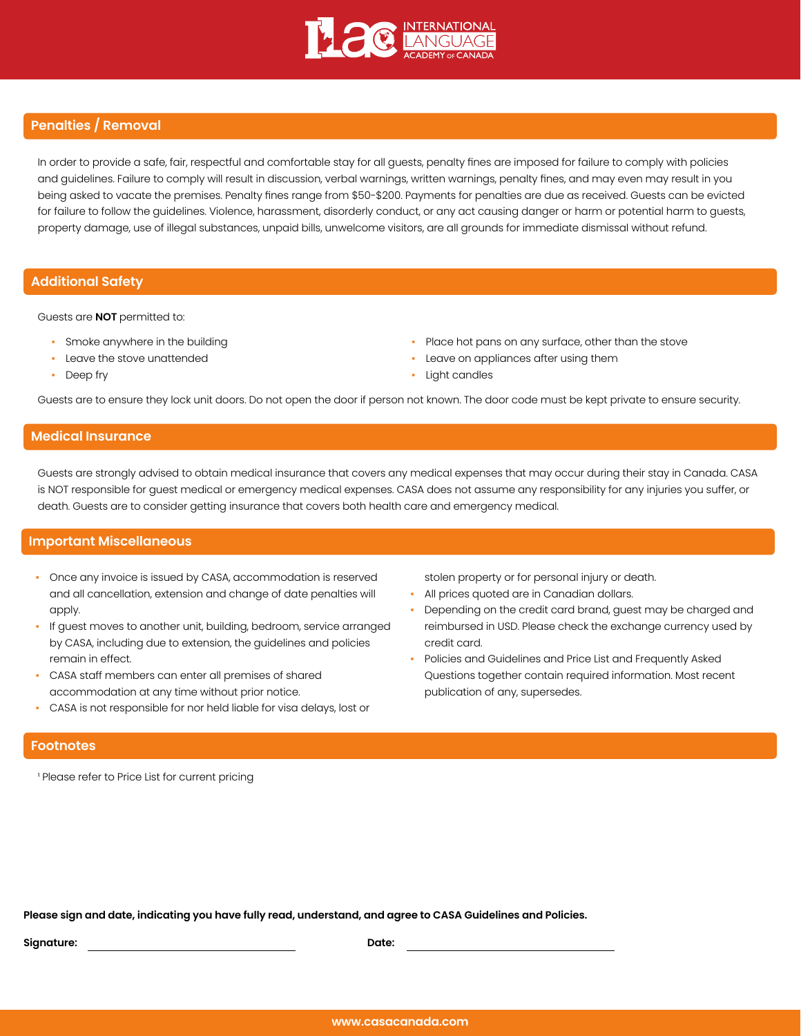

## **Penalties / Removal**

In order to provide a safe, fair, respectful and comfortable stay for all guests, penalty fines are imposed for failure to comply with policies and guidelines. Failure to comply will result in discussion, verbal warnings, written warnings, penalty fines, and may even may result in you being asked to vacate the premises. Penalty fines range from \$50-\$200. Payments for penalties are due as received. Guests can be evicted for failure to follow the guidelines. Violence, harassment, disorderly conduct, or any act causing danger or harm or potential harm to guests, property damage, use of illegal substances, unpaid bills, unwelcome visitors, are all grounds for immediate dismissal without refund.

## **Additional Safety**

Guests are **NOT** permitted to:

- Smoke anywhere in the building
- Leave the stove unattended
- Deep fry
- Place hot pans on any surface, other than the stove
- Leave on appliances after using them
- Light candles

Guests are to ensure they lock unit doors. Do not open the door if person not known. The door code must be kept private to ensure security.

### **Medical Insurance**

Guests are strongly advised to obtain medical insurance that covers any medical expenses that may occur during their stay in Canada. CASA is NOT responsible for guest medical or emergency medical expenses. CASA does not assume any responsibility for any injuries you suffer, or death. Guests are to consider getting insurance that covers both health care and emergency medical.

#### **Important Miscellaneous**

- Once any invoice is issued by CASA, accommodation is reserved and all cancellation, extension and change of date penalties will apply.
- If guest moves to another unit, building, bedroom, service arranged by CASA, including due to extension, the guidelines and policies remain in effect.
- CASA staff members can enter all premises of shared accommodation at any time without prior notice.
- CASA is not responsible for nor held liable for visa delays, lost or

stolen property or for personal injury or death.

- All prices quoted are in Canadian dollars.
- Depending on the credit card brand, guest may be charged and reimbursed in USD. Please check the exchange currency used by credit card.
- Policies and Guidelines and Price List and Frequently Asked Questions together contain required information. Most recent publication of any, supersedes.

## **Footnotes**

<sup>1</sup> Please refer to Price List for current pricing

**Please sign and date, indicating you have fully read, understand, and agree to CASA Guidelines and Policies.**

**Signature: Date:**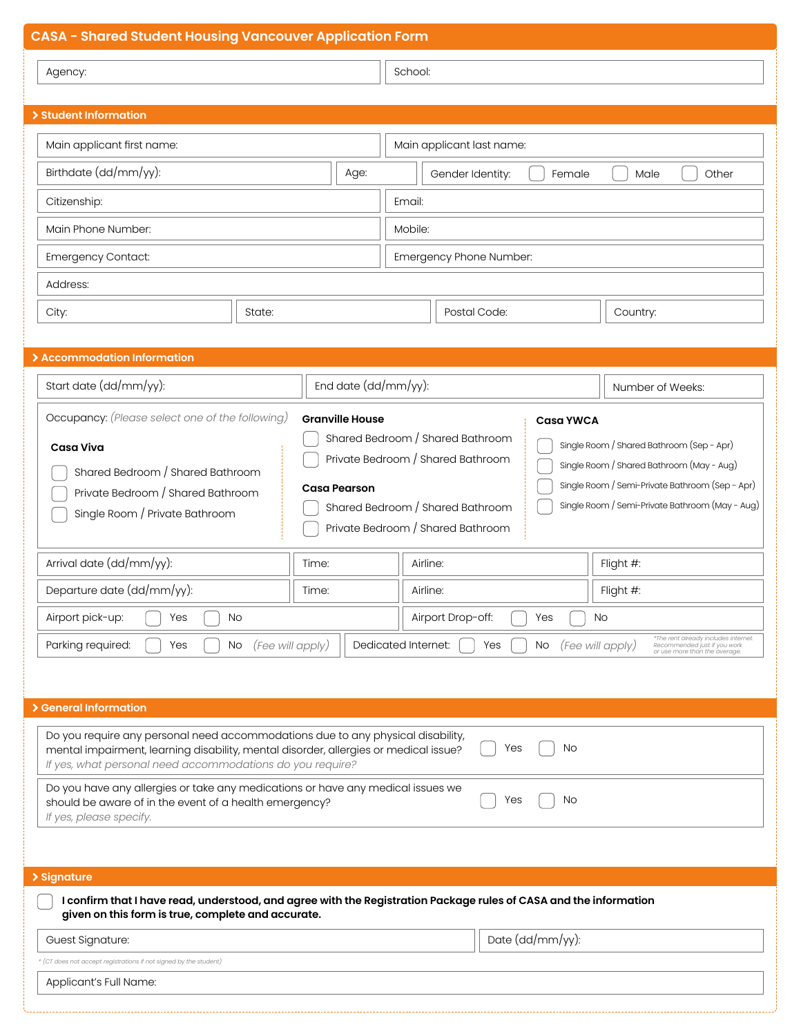| <b>CASA - Shared Student Housing Vancouver Application Form</b>                                                                                   |                                                          |                                                                                              |                                                                                                                    |                                                                                                                           |  |
|---------------------------------------------------------------------------------------------------------------------------------------------------|----------------------------------------------------------|----------------------------------------------------------------------------------------------|--------------------------------------------------------------------------------------------------------------------|---------------------------------------------------------------------------------------------------------------------------|--|
| Agency:                                                                                                                                           |                                                          | School:                                                                                      |                                                                                                                    |                                                                                                                           |  |
|                                                                                                                                                   |                                                          |                                                                                              |                                                                                                                    |                                                                                                                           |  |
| > Student Information                                                                                                                             |                                                          |                                                                                              |                                                                                                                    |                                                                                                                           |  |
| Main applicant first name:                                                                                                                        |                                                          | Main applicant last name:                                                                    |                                                                                                                    |                                                                                                                           |  |
| Birthdate (dd/mm/yy):                                                                                                                             | Age:                                                     | Gender Identity:                                                                             | Female                                                                                                             | Other<br>Male                                                                                                             |  |
| Citizenship:                                                                                                                                      |                                                          | Email:                                                                                       |                                                                                                                    |                                                                                                                           |  |
| Main Phone Number:                                                                                                                                |                                                          | Mobile:                                                                                      |                                                                                                                    |                                                                                                                           |  |
| Emergency Contact:                                                                                                                                |                                                          | Emergency Phone Number:                                                                      |                                                                                                                    |                                                                                                                           |  |
| Address:                                                                                                                                          |                                                          |                                                                                              |                                                                                                                    |                                                                                                                           |  |
| City:<br>State:                                                                                                                                   |                                                          |                                                                                              | Postal Code:                                                                                                       | Country:                                                                                                                  |  |
|                                                                                                                                                   |                                                          |                                                                                              |                                                                                                                    |                                                                                                                           |  |
| > Accommodation Information                                                                                                                       |                                                          |                                                                                              |                                                                                                                    |                                                                                                                           |  |
| Start date (dd/mm/yy):                                                                                                                            | End date (dd/mm/yy):                                     |                                                                                              |                                                                                                                    | Number of Weeks:                                                                                                          |  |
| Occupancy: (Please select one of the following)                                                                                                   | <b>Granville House</b>                                   |                                                                                              | <b>Casa YWCA</b>                                                                                                   |                                                                                                                           |  |
| <b>Casa Viva</b>                                                                                                                                  |                                                          |                                                                                              | Shared Bedroom / Shared Bathroom<br>Single Room / Shared Bathroom (Sep - Apr)<br>Private Bedroom / Shared Bathroom |                                                                                                                           |  |
| Shared Bedroom / Shared Bathroom                                                                                                                  |                                                          | Single Room / Shared Bathroom (May - Aug)<br>Single Room / Semi-Private Bathroom (Sep - Apr) |                                                                                                                    |                                                                                                                           |  |
| Single Room / Private Bathroom                                                                                                                    | <b>Casa Pearson</b><br>Private Bedroom / Shared Bathroom |                                                                                              | Single Room / Semi-Private Bathroom (May - Aug)<br>Shared Bedroom / Shared Bathroom                                |                                                                                                                           |  |
|                                                                                                                                                   |                                                          | Private Bedroom / Shared Bathroom                                                            |                                                                                                                    |                                                                                                                           |  |
| Arrival date (dd/mm/yy):                                                                                                                          | Time:                                                    | Airline:                                                                                     |                                                                                                                    | Flight #:                                                                                                                 |  |
| Departure date (dd/mm/yy):                                                                                                                        | Time:                                                    | Airline:                                                                                     |                                                                                                                    | Flight #:                                                                                                                 |  |
| Airport pick-up:<br>No<br>Yes                                                                                                                     |                                                          | Airport Drop-off:                                                                            | Yes                                                                                                                | No                                                                                                                        |  |
| Parking required:<br>(Fee will apply)<br>No<br>Yes                                                                                                |                                                          | Dedicated Internet:                                                                          | Yes<br>No.                                                                                                         | *The rent already includes internet.<br>(Fee will apply)<br>Recommended just if you work<br>or use more than the average. |  |
|                                                                                                                                                   |                                                          |                                                                                              |                                                                                                                    |                                                                                                                           |  |
| > General Information                                                                                                                             |                                                          |                                                                                              |                                                                                                                    |                                                                                                                           |  |
| Do you require any personal need accommodations due to any physical disability,                                                                   |                                                          |                                                                                              |                                                                                                                    |                                                                                                                           |  |
| mental impairment, learning disability, mental disorder, allergies or medical issue?<br>If yes, what personal need accommodations do you require? |                                                          |                                                                                              | No<br>Yes                                                                                                          |                                                                                                                           |  |
| Do you have any allergies or take any medications or have any medical issues we                                                                   |                                                          |                                                                                              |                                                                                                                    |                                                                                                                           |  |
| should be aware of in the event of a health emergency?<br>If yes, please specify.                                                                 |                                                          |                                                                                              | No<br>Yes                                                                                                          |                                                                                                                           |  |
|                                                                                                                                                   |                                                          |                                                                                              |                                                                                                                    |                                                                                                                           |  |
|                                                                                                                                                   |                                                          |                                                                                              |                                                                                                                    |                                                                                                                           |  |
| > Signature<br>I confirm that I have read, understood, and agree with the Registration Package rules of CASA and the information                  |                                                          |                                                                                              |                                                                                                                    |                                                                                                                           |  |
| given on this form is true, complete and accurate.                                                                                                |                                                          |                                                                                              |                                                                                                                    |                                                                                                                           |  |
| Guest Signature:                                                                                                                                  |                                                          |                                                                                              | Date (dd/mm/yy):                                                                                                   |                                                                                                                           |  |
| * (CT does not accept registrations if not signed by the student)                                                                                 |                                                          |                                                                                              |                                                                                                                    |                                                                                                                           |  |
| Applicant's Full Name:                                                                                                                            |                                                          |                                                                                              |                                                                                                                    |                                                                                                                           |  |